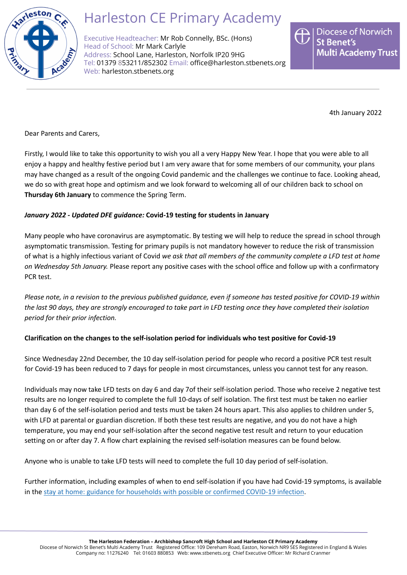

# Harleston CE Primary Academy

Executive Headteacher: Mr Rob Connelly, BSc. (Hons) Head of School: Mr Mark Carlyle Address: School Lane, Harleston, Norfolk IP20 9HG Tel: 01379 853211/852302 Email: [office@harleston.stbenets.org](mailto:office@harleston.stbenets.org) Web: [harleston.stbenets.org](https://harleston.stbenets.org)

**Diocese of Norwich St Benet's Multi Academy Trust** 

4th January 2022

Dear Parents and Carers,

Firstly, I would like to take this opportunity to wish you all a very Happy New Year. I hope that you were able to all enjoy a happy and healthy festive period but I am very aware that for some members of our community, your plans may have changed as a result of the ongoing Covid pandemic and the challenges we continue to face. Looking ahead, we do so with great hope and optimism and we look forward to welcoming all of our children back to school on **Thursday 6th January** to commence the Spring Term.

# *January 2022 - Updated DFE guidance:* **Covid-19 testing for students in January**

Many people who have coronavirus are asymptomatic. By testing we will help to reduce the spread in school through asymptomatic transmission. Testing for primary pupils is not mandatory however to reduce the risk of transmission of what is a highly infectious variant of Covid *we ask that all members of the community complete a LFD test at home on Wednesday 5th January.* Please report any positive cases with the school office and follow up with a confirmatory PCR test.

Please note, in a revision to the previous published auidance, even if someone has tested positive for COVID-19 within the last 90 days, they are strongly encouraged to take part in LFD testing once they have completed their isolation *period for their prior infection.*

# **Clarification on the changes to the self-isolation period for individuals who test positive for Covid-19**

Since Wednesday 22nd December, the 10 day self-isolation period for people who record a positive PCR test result for Covid-19 has been reduced to 7 days for people in most circumstances, unless you cannot test for any reason.

Individuals may now take LFD tests on day 6 and day 7of their self-isolation period. Those who receive 2 negative test results are no longer required to complete the full 10-days of self isolation. The first test must be taken no earlier than day 6 of the self-isolation period and tests must be taken 24 hours apart. This also applies to children under 5, with LFD at parental or guardian discretion. If both these test results are negative, and you do not have a high temperature, you may end your self-isolation after the second negative test result and return to your education setting on or after day 7. A flow chart explaining the revised self-isolation measures can be found below.

Anyone who is unable to take LFD tests will need to complete the full 10 day period of self-isolation.

Further information, including examples of when to end self-isolation if you have had Covid-19 symptoms, is available in the stay at home: guidance for [households](https://www.gov.uk/government/publications/covid-19-stay-at-home-guidance/stay-at-home-guidance-for-households-with-possible-coronavirus-covid-19-infection?utm_source=4%20January%202022%20C19&utm_medium=Daily%20Email%20C19&utm_campaign=DfE%20C19#SymptomsPositiveTest) with possible or confirmed COVID-19 infection.